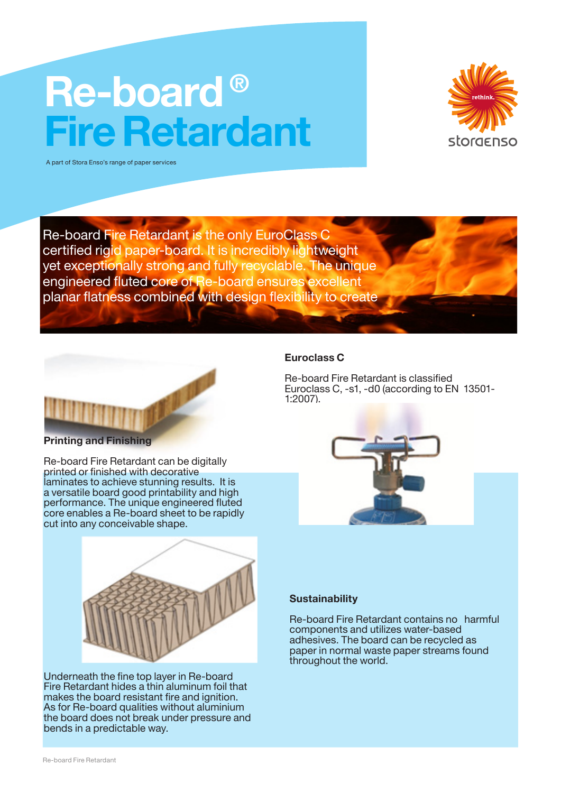# Re-board ® Fire Retardant



A part of Stora Enso's range of paper services

Re-board Fire Retardant is the only EuroClass C certified rigid paper-board. It is incredibly lightweight yet exceptionally strong and fully recyclable. The unique engineered fluted core of Re-board ensures excellent planar flatness combined with design flexibility to create



#### Printing and Finishing

Re-board Fire Retardant can be digitally printed or finished with decorative laminates to achieve stunning results. It is a versatile board good printability and high performance. The unique engineered fluted core enables a Re-board sheet to be rapidly cut into any conceivable shape.



Underneath the fine top layer in Re-board Fire Retardant hides a thin aluminum foil that makes the board resistant fire and ignition. As for Re-board qualities without aluminium the board does not break under pressure and bends in a predictable way.

### Euroclass C

Re-board Fire Retardant is classified Euroclass C, -s1, -d0 (according to EN 13501- 1:2007).



### **Sustainability**

Re-board Fire Retardant contains no harmful components and utilizes water-based adhesives. The board can be recycled as paper in normal waste paper streams found throughout the world.